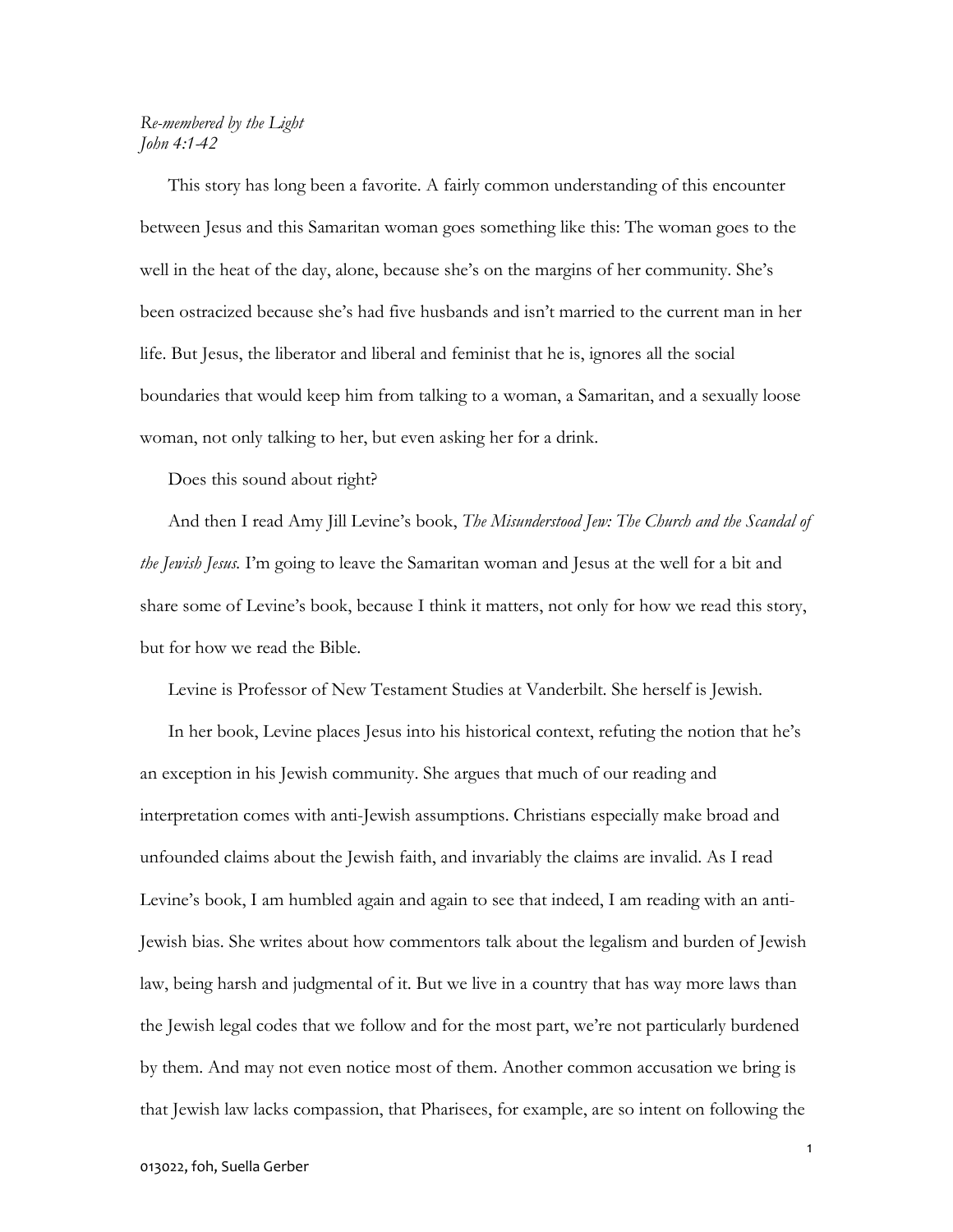## Re-membered by the Light John 4:1-42

This story has long been a favorite. A fairly common understanding of this encounter between Jesus and this Samaritan woman goes something like this: The woman goes to the well in the heat of the day, alone, because she's on the margins of her community. She's been ostracized because she's had five husbands and isn't married to the current man in her life. But Jesus, the liberator and liberal and feminist that he is, ignores all the social boundaries that would keep him from talking to a woman, a Samaritan, and a sexually loose woman, not only talking to her, but even asking her for a drink.

Does this sound about right?

And then I read Amy Jill Levine's book, The Misunderstood Jew: The Church and the Scandal of the Jewish Jesus. I'm going to leave the Samaritan woman and Jesus at the well for a bit and share some of Levine's book, because I think it matters, not only for how we read this story, but for how we read the Bible.

Levine is Professor of New Testament Studies at Vanderbilt. She herself is Jewish.

In her book, Levine places Jesus into his historical context, refuting the notion that he's an exception in his Jewish community. She argues that much of our reading and interpretation comes with anti-Jewish assumptions. Christians especially make broad and unfounded claims about the Jewish faith, and invariably the claims are invalid. As I read Levine's book, I am humbled again and again to see that indeed, I am reading with an anti-Jewish bias. She writes about how commentors talk about the legalism and burden of Jewish law, being harsh and judgmental of it. But we live in a country that has way more laws than the Jewish legal codes that we follow and for the most part, we're not particularly burdened by them. And may not even notice most of them. Another common accusation we bring is that Jewish law lacks compassion, that Pharisees, for example, are so intent on following the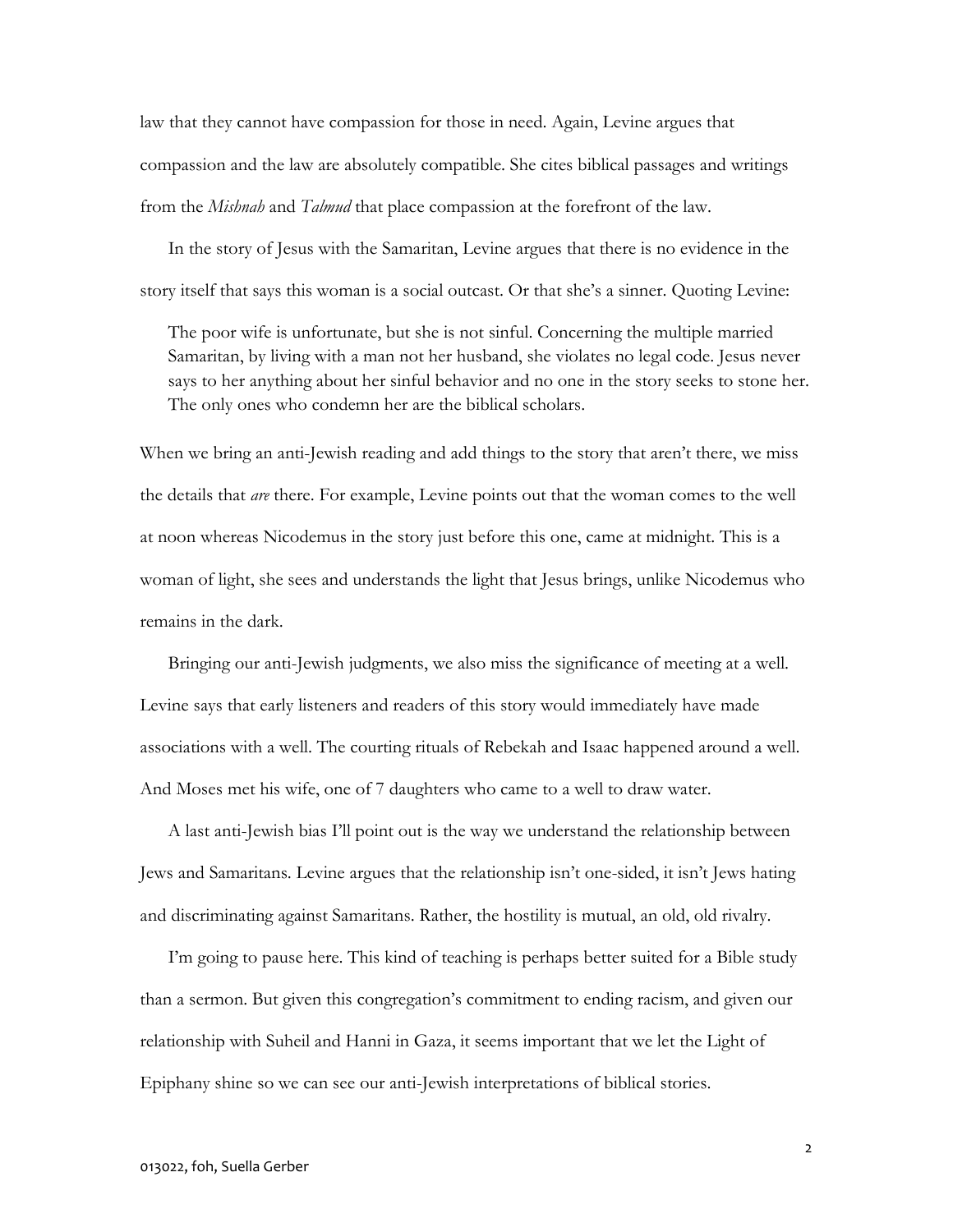law that they cannot have compassion for those in need. Again, Levine argues that compassion and the law are absolutely compatible. She cites biblical passages and writings from the *Mishnah* and *Talmud* that place compassion at the forefront of the law.

 In the story of Jesus with the Samaritan, Levine argues that there is no evidence in the story itself that says this woman is a social outcast. Or that she's a sinner. Quoting Levine:

The poor wife is unfortunate, but she is not sinful. Concerning the multiple married Samaritan, by living with a man not her husband, she violates no legal code. Jesus never says to her anything about her sinful behavior and no one in the story seeks to stone her. The only ones who condemn her are the biblical scholars.

When we bring an anti-Jewish reading and add things to the story that aren't there, we miss the details that are there. For example, Levine points out that the woman comes to the well at noon whereas Nicodemus in the story just before this one, came at midnight. This is a woman of light, she sees and understands the light that Jesus brings, unlike Nicodemus who remains in the dark.

 Bringing our anti-Jewish judgments, we also miss the significance of meeting at a well. Levine says that early listeners and readers of this story would immediately have made associations with a well. The courting rituals of Rebekah and Isaac happened around a well. And Moses met his wife, one of 7 daughters who came to a well to draw water.

 A last anti-Jewish bias I'll point out is the way we understand the relationship between Jews and Samaritans. Levine argues that the relationship isn't one-sided, it isn't Jews hating and discriminating against Samaritans. Rather, the hostility is mutual, an old, old rivalry.

 I'm going to pause here. This kind of teaching is perhaps better suited for a Bible study than a sermon. But given this congregation's commitment to ending racism, and given our relationship with Suheil and Hanni in Gaza, it seems important that we let the Light of Epiphany shine so we can see our anti-Jewish interpretations of biblical stories.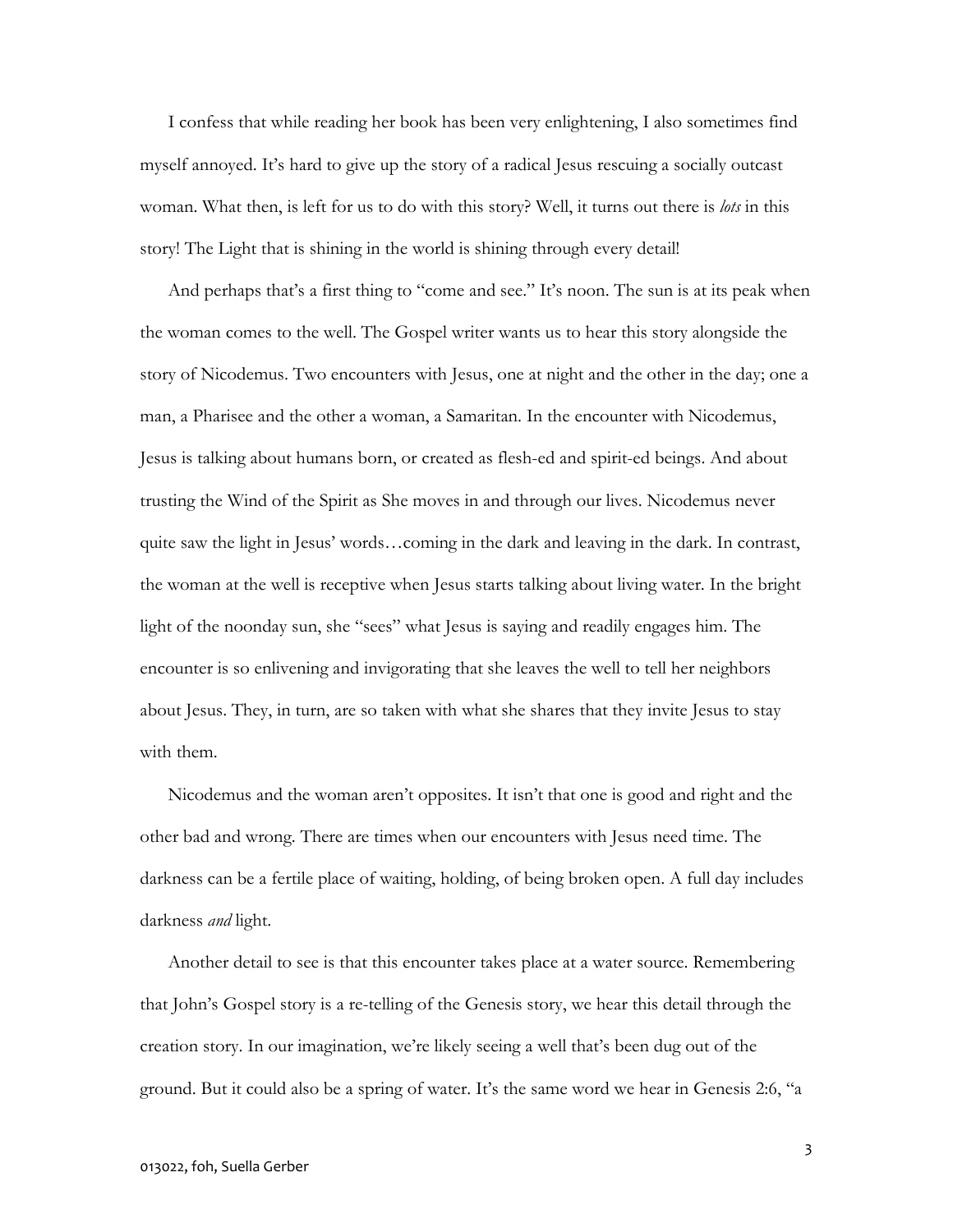I confess that while reading her book has been very enlightening, I also sometimes find myself annoyed. It's hard to give up the story of a radical Jesus rescuing a socially outcast woman. What then, is left for us to do with this story? Well, it turns out there is *lots* in this story! The Light that is shining in the world is shining through every detail!

 And perhaps that's a first thing to "come and see." It's noon. The sun is at its peak when the woman comes to the well. The Gospel writer wants us to hear this story alongside the story of Nicodemus. Two encounters with Jesus, one at night and the other in the day; one a man, a Pharisee and the other a woman, a Samaritan. In the encounter with Nicodemus, Jesus is talking about humans born, or created as flesh-ed and spirit-ed beings. And about trusting the Wind of the Spirit as She moves in and through our lives. Nicodemus never quite saw the light in Jesus' words…coming in the dark and leaving in the dark. In contrast, the woman at the well is receptive when Jesus starts talking about living water. In the bright light of the noonday sun, she "sees" what Jesus is saying and readily engages him. The encounter is so enlivening and invigorating that she leaves the well to tell her neighbors about Jesus. They, in turn, are so taken with what she shares that they invite Jesus to stay with them.

Nicodemus and the woman aren't opposites. It isn't that one is good and right and the other bad and wrong. There are times when our encounters with Jesus need time. The darkness can be a fertile place of waiting, holding, of being broken open. A full day includes darkness *and* light.

 Another detail to see is that this encounter takes place at a water source. Remembering that John's Gospel story is a re-telling of the Genesis story, we hear this detail through the creation story. In our imagination, we're likely seeing a well that's been dug out of the ground. But it could also be a spring of water. It's the same word we hear in Genesis 2:6, "a

3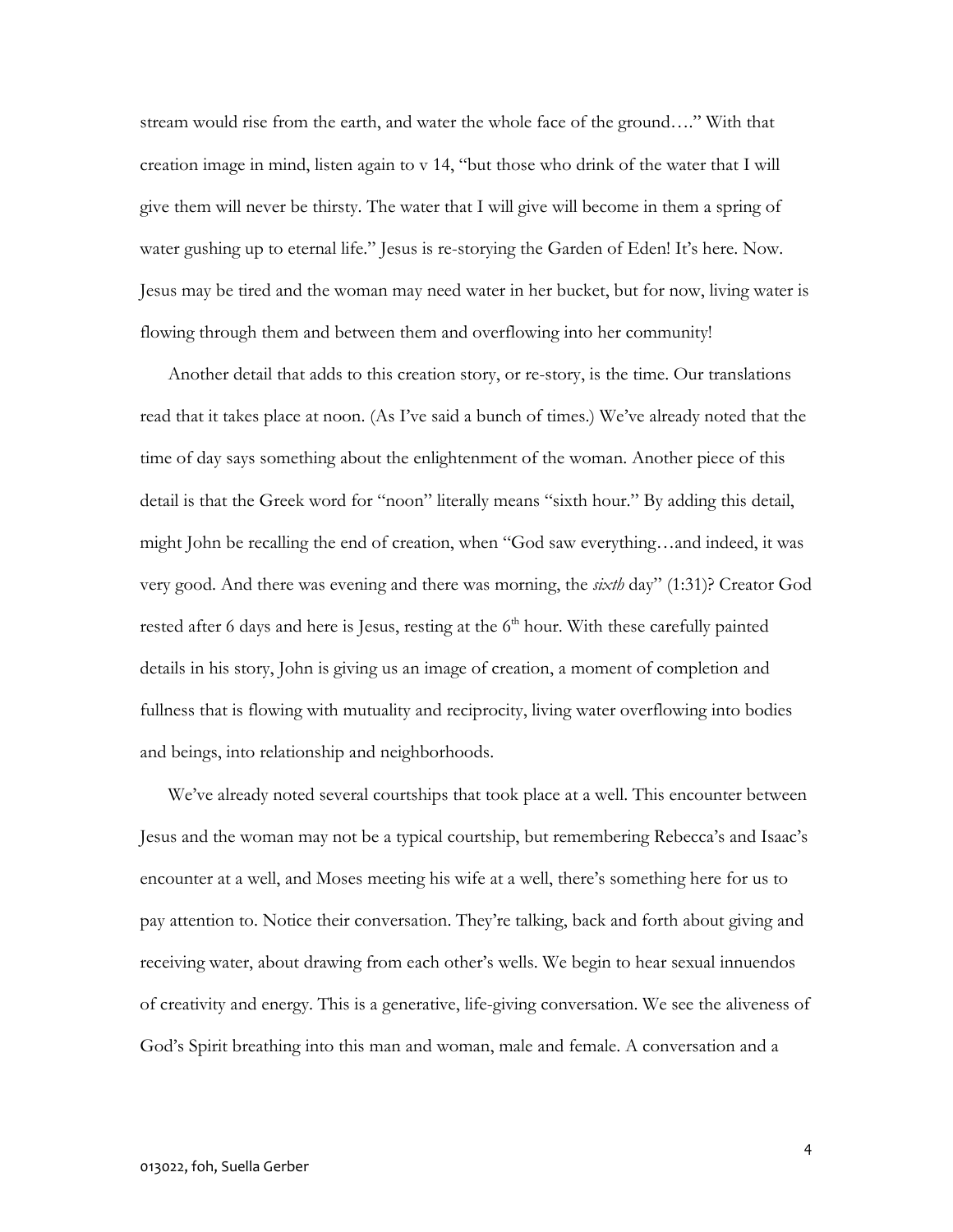stream would rise from the earth, and water the whole face of the ground…." With that creation image in mind, listen again to v 14, "but those who drink of the water that I will give them will never be thirsty. The water that I will give will become in them a spring of water gushing up to eternal life." Jesus is re-storying the Garden of Eden! It's here. Now. Jesus may be tired and the woman may need water in her bucket, but for now, living water is flowing through them and between them and overflowing into her community!

 Another detail that adds to this creation story, or re-story, is the time. Our translations read that it takes place at noon. (As I've said a bunch of times.) We've already noted that the time of day says something about the enlightenment of the woman. Another piece of this detail is that the Greek word for "noon" literally means "sixth hour." By adding this detail, might John be recalling the end of creation, when "God saw everything…and indeed, it was very good. And there was evening and there was morning, the sixth day" (1:31)? Creator God rested after 6 days and here is Jesus, resting at the  $6<sup>th</sup>$  hour. With these carefully painted details in his story, John is giving us an image of creation, a moment of completion and fullness that is flowing with mutuality and reciprocity, living water overflowing into bodies and beings, into relationship and neighborhoods.

 We've already noted several courtships that took place at a well. This encounter between Jesus and the woman may not be a typical courtship, but remembering Rebecca's and Isaac's encounter at a well, and Moses meeting his wife at a well, there's something here for us to pay attention to. Notice their conversation. They're talking, back and forth about giving and receiving water, about drawing from each other's wells. We begin to hear sexual innuendos of creativity and energy. This is a generative, life-giving conversation. We see the aliveness of God's Spirit breathing into this man and woman, male and female. A conversation and a

4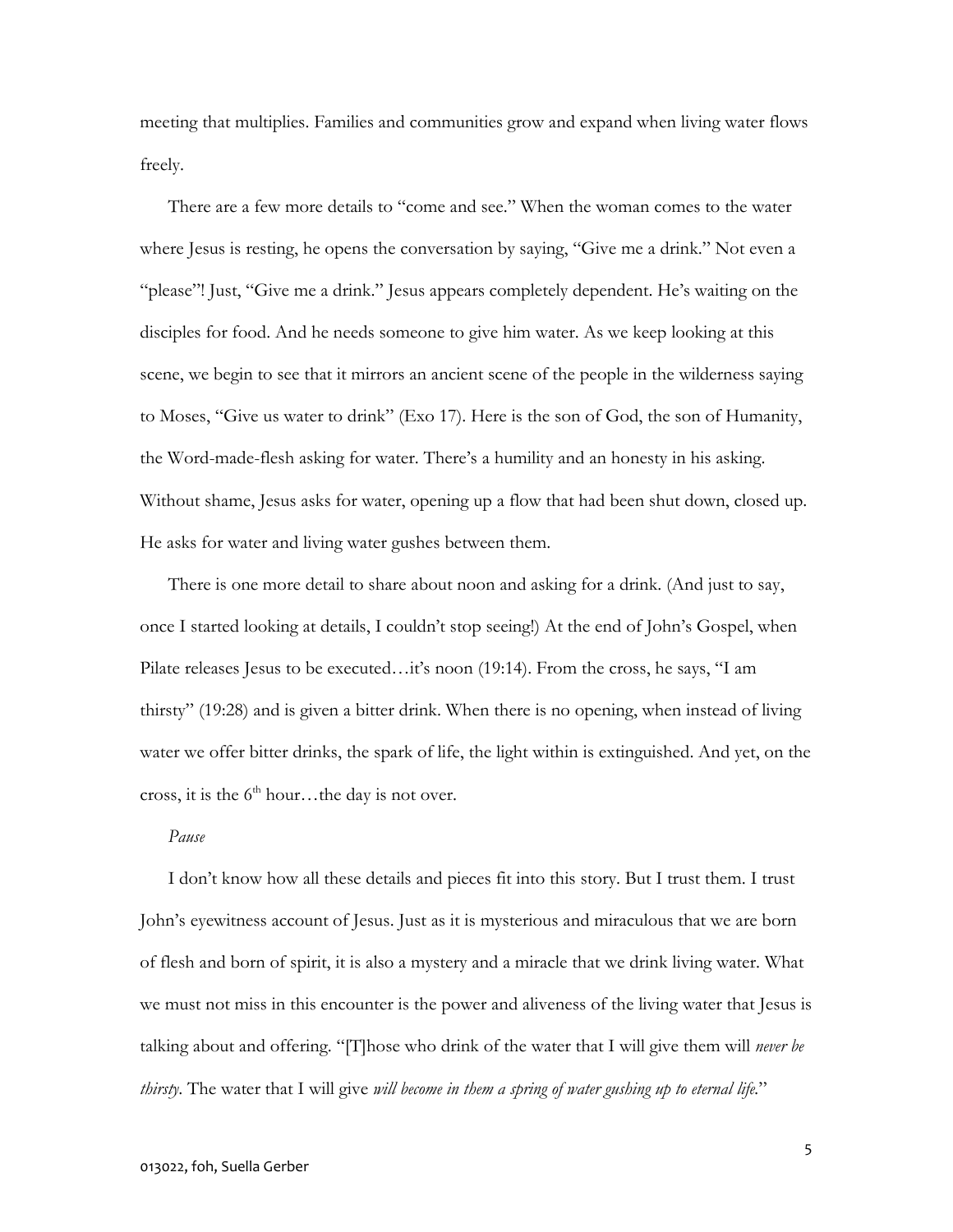meeting that multiplies. Families and communities grow and expand when living water flows freely.

There are a few more details to "come and see." When the woman comes to the water where Jesus is resting, he opens the conversation by saying, "Give me a drink." Not even a "please"! Just, "Give me a drink." Jesus appears completely dependent. He's waiting on the disciples for food. And he needs someone to give him water. As we keep looking at this scene, we begin to see that it mirrors an ancient scene of the people in the wilderness saying to Moses, "Give us water to drink" (Exo 17). Here is the son of God, the son of Humanity, the Word-made-flesh asking for water. There's a humility and an honesty in his asking. Without shame, Jesus asks for water, opening up a flow that had been shut down, closed up. He asks for water and living water gushes between them.

 There is one more detail to share about noon and asking for a drink. (And just to say, once I started looking at details, I couldn't stop seeing!) At the end of John's Gospel, when Pilate releases Jesus to be executed…it's noon (19:14). From the cross, he says, "I am thirsty" (19:28) and is given a bitter drink. When there is no opening, when instead of living water we offer bitter drinks, the spark of life, the light within is extinguished. And yet, on the cross, it is the  $6<sup>th</sup>$  hour...the day is not over.

## Pause

 I don't know how all these details and pieces fit into this story. But I trust them. I trust John's eyewitness account of Jesus. Just as it is mysterious and miraculous that we are born of flesh and born of spirit, it is also a mystery and a miracle that we drink living water. What we must not miss in this encounter is the power and aliveness of the living water that Jesus is talking about and offering. "[T]hose who drink of the water that I will give them will *never be* thirsty. The water that I will give *will become in them a spring of water gushing up to eternal life.*"